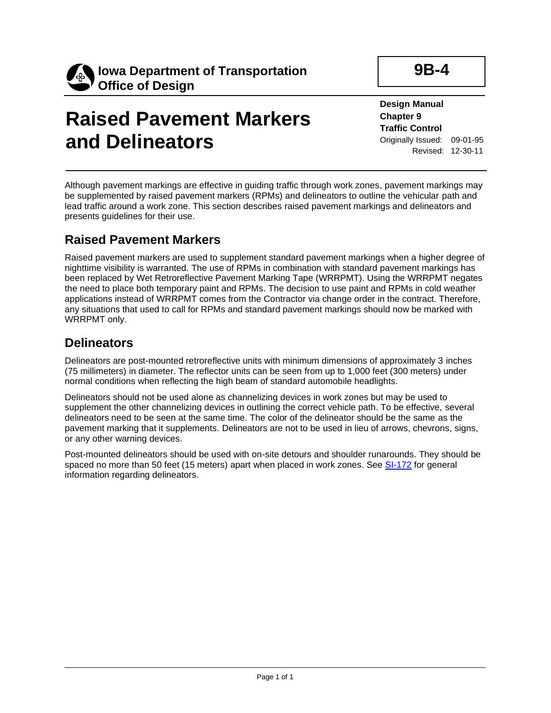

# **Raised Pavement Markers and Delineators**

**Design Manual Chapter 9 Traffic Control** Originally Issued: 09-01-95 Revised: 12-30-11

**9B-4**

Although pavement markings are effective in guiding traffic through work zones, pavement markings may be supplemented by raised pavement markers (RPMs) and delineators to outline the vehicular path and lead traffic around a work zone. This section describes raised pavement markings and delineators and presents guidelines for their use.

#### **Raised Pavement Markers**

Raised pavement markers are used to supplement standard pavement markings when a higher degree of nighttime visibility is warranted. The use of RPMs in combination with standard pavement markings has been replaced by Wet Retroreflective Pavement Marking Tape (WRRPMT). Using the WRRPMT negates the need to place both temporary paint and RPMs. The decision to use paint and RPMs in cold weather applications instead of WRRPMT comes from the Contractor via change order in the contract. Therefore, any situations that used to call for RPMs and standard pavement markings should now be marked with WRRPMT only.

### **Delineators**

Delineators are post-mounted retroreflective units with minimum dimensions of approximately 3 inches (75 millimeters) in diameter. The reflector units can be seen from up to 1,000 feet (300 meters) under normal conditions when reflecting the high beam of standard automobile headlights.

Delineators should not be used alone as channelizing devices in work zones but may be used to supplement the other channelizing devices in outlining the correct vehicle path. To be effective, several delineators need to be seen at the same time. The color of the delineator should be the same as the pavement marking that it supplements. Delineators are not to be used in lieu of arrows, chevrons, signs, or any other warning devices.

Post-mounted delineators should be used with on-site detours and shoulder runarounds. They should be spaced no more than 50 feet (15 meters) apart when placed in work zones. See [SI-172](../SRP/IndividualStandards/si172.pdf) for general information regarding delineators.